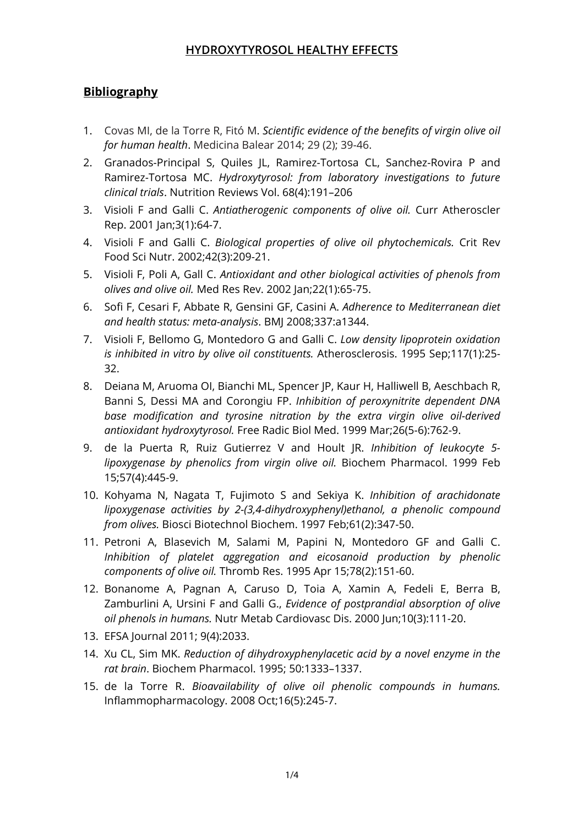# **Bibliography**

- 1. Covas MI, de la Torre R, Fitó M. *Scientific evidence of the benefits of virgin olive oil for human health*. Medicina Balear 2014; 29 (2); 39-46.
- 2. Granados-Principal S, Quiles JL, Ramirez-Tortosa CL, Sanchez-Rovira P and Ramirez-Tortosa MC. *Hydroxytyrosol: from laboratory investigations to future clinical trials*. Nutrition Reviews Vol. 68(4):191–206
- 3. Visioli F and Galli C. *Antiatherogenic components of olive oil.* Curr Atheroscler Rep. 2001 Jan;3(1):64-7.
- 4. Visioli F and Galli C. *Biological properties of olive oil phytochemicals.* Crit Rev Food Sci Nutr. 2002;42(3):209-21.
- 5. Visioli F, Poli A, Gall C. *Antioxidant and other biological activities of phenols from olives and olive oil.* Med Res Rev. 2002 Jan;22(1):65-75.
- 6. Sofi F, Cesari F, Abbate R, Gensini GF, Casini A. *Adherence to Mediterranean diet and health status: meta-analysis*. BMJ 2008;337:a1344.
- 7. Visioli F, Bellomo G, Montedoro G and Galli C. *Low density lipoprotein oxidation is inhibited in vitro by olive oil constituents.* Atherosclerosis. 1995 Sep;117(1):25- 32.
- 8. Deiana M, Aruoma OI, Bianchi ML, Spencer JP, Kaur H, Halliwell B, Aeschbach R, Banni S, Dessi MA and Corongiu FP. *Inhibition of peroxynitrite dependent DNA base modification and tyrosine nitration by the extra virgin olive oil-derived antioxidant hydroxytyrosol.* Free Radic Biol Med. 1999 Mar;26(5-6):762-9.
- 9. de la Puerta R, Ruiz Gutierrez V and Hoult JR. *Inhibition of leukocyte 5 lipoxygenase by phenolics from virgin olive oil.* Biochem Pharmacol. 1999 Feb 15;57(4):445-9.
- 10. Kohyama N, Nagata T, Fujimoto S and Sekiya K. *Inhibition of arachidonate lipoxygenase activities by 2-(3,4-dihydroxyphenyl)ethanol, a phenolic compound from olives.* Biosci Biotechnol Biochem. 1997 Feb;61(2):347-50.
- 11. Petroni A, Blasevich M, Salami M, Papini N, Montedoro GF and Galli C. *Inhibition of platelet aggregation and eicosanoid production by phenolic components of olive oil.* Thromb Res. 1995 Apr 15;78(2):151-60.
- 12. Bonanome A, Pagnan A, Caruso D, Toia A, Xamin A, Fedeli E, Berra B, Zamburlini A, Ursini F and Galli G., *Evidence of postprandial absorption of olive oil phenols in humans.* Nutr Metab Cardiovasc Dis. 2000 Jun;10(3):111-20.
- 13. EFSA Journal 2011; 9(4):2033.
- 14. Xu CL, Sim MK. *Reduction of dihydroxyphenylacetic acid by a novel enzyme in the rat brain*. Biochem Pharmacol. 1995; 50:1333–1337.
- 15. de la Torre R. *Bioavailability of olive oil phenolic compounds in humans.*  Inflammopharmacology. 2008 Oct;16(5):245-7.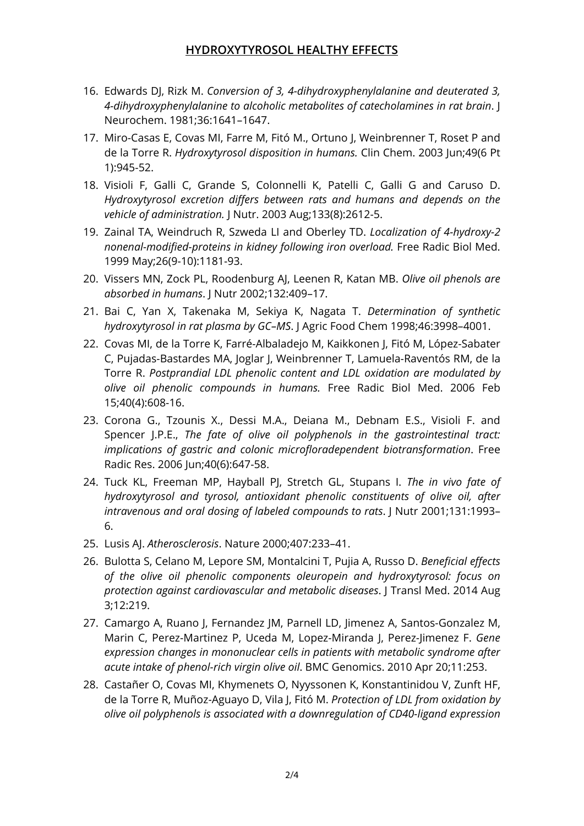- 16. Edwards DJ, Rizk M. *Conversion of 3, 4-dihydroxyphenylalanine and deuterated 3, 4-dihydroxyphenylalanine to alcoholic metabolites of catecholamines in rat brain*. J Neurochem. 1981;36:1641–1647.
- 17. Miro-Casas E, Covas MI, Farre M, Fitó M., Ortuno J, Weinbrenner T, Roset P and de la Torre R. *Hydroxytyrosol disposition in humans.* Clin Chem. 2003 Jun;49(6 Pt 1):945-52.
- 18. Visioli F, Galli C, Grande S, Colonnelli K, Patelli C, Galli G and Caruso D. *Hydroxytyrosol excretion differs between rats and humans and depends on the vehicle of administration.* J Nutr. 2003 Aug;133(8):2612-5.
- 19. Zainal TA, Weindruch R, Szweda LI and Oberley TD. *Localization of 4-hydroxy-2 nonenal-modified-proteins in kidney following iron overload.* Free Radic Biol Med. 1999 May;26(9-10):1181-93.
- 20. Vissers MN, Zock PL, Roodenburg AJ, Leenen R, Katan MB. *Olive oil phenols are absorbed in humans*. J Nutr 2002;132:409–17.
- 21. Bai C, Yan X, Takenaka M, Sekiya K, Nagata T. *Determination of synthetic hydroxytyrosol in rat plasma by GC–MS*. J Agric Food Chem 1998;46:3998–4001.
- 22. Covas MI, de la Torre K, Farré-Albaladejo M, Kaikkonen J, Fitó M, López-Sabater C, Pujadas-Bastardes MA, Joglar J, Weinbrenner T, Lamuela-Raventós RM, de la Torre R. *Postprandial LDL phenolic content and LDL oxidation are modulated by olive oil phenolic compounds in humans.* Free Radic Biol Med. 2006 Feb 15;40(4):608-16.
- 23. Corona G., Tzounis X., Dessi M.A., Deiana M., Debnam E.S., Visioli F. and Spencer J.P.E., *The fate of olive oil polyphenols in the gastrointestinal tract: implications of gastric and colonic microfloradependent biotransformation*. Free Radic Res. 2006 Jun;40(6):647-58.
- 24. Tuck KL, Freeman MP, Hayball PJ, Stretch GL, Stupans I. *The in vivo fate of hydroxytyrosol and tyrosol, antioxidant phenolic constituents of olive oil, after intravenous and oral dosing of labeled compounds to rats*. J Nutr 2001;131:1993– 6.
- 25. Lusis AJ. *Atherosclerosis*. Nature 2000;407:233–41.
- 26. Bulotta S, Celano M, Lepore SM, Montalcini T, Pujia A, Russo D. *Beneficial effects of the olive oil phenolic components oleuropein and hydroxytyrosol: focus on protection against cardiovascular and metabolic diseases*. J Transl Med. 2014 Aug 3;12:219.
- 27. Camargo A, Ruano J, Fernandez JM, Parnell LD, Jimenez A, Santos-Gonzalez M, Marin C, Perez-Martinez P, Uceda M, Lopez-Miranda J, Perez-Jimenez F. *Gene expression changes in mononuclear cells in patients with metabolic syndrome after acute intake of phenol-rich virgin olive oil*. BMC Genomics. 2010 Apr 20;11:253.
- 28. Castañer O, Covas MI, Khymenets O, Nyyssonen K, Konstantinidou V, Zunft HF, de la Torre R, Muñoz-Aguayo D, Vila J, Fitó M. *Protection of LDL from oxidation by olive oil polyphenols is associated with a downregulation of CD40-ligand expression*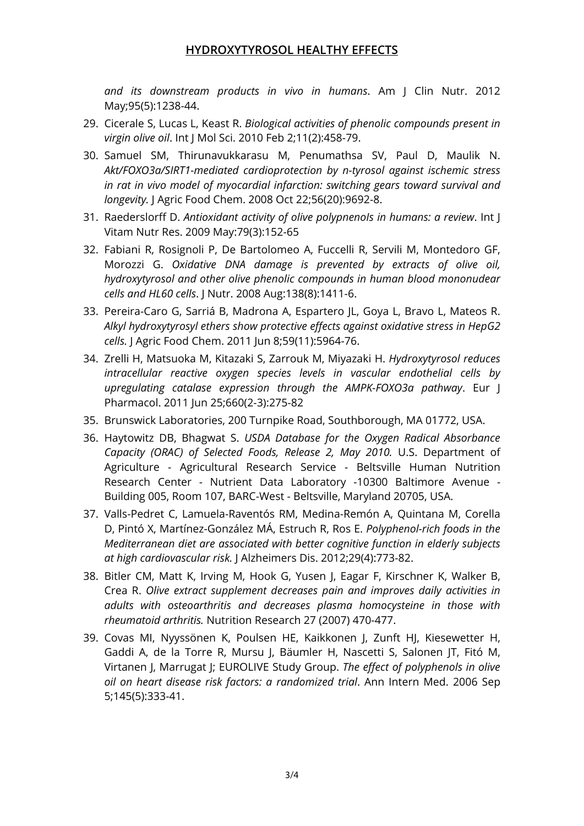*and its downstream products in vivo in humans*. Am J Clin Nutr. 2012 May;95(5):1238-44.

- 29. Cicerale S, Lucas L, Keast R. *Biological activities of phenolic compounds present in virgin olive oil*. Int J Mol Sci. 2010 Feb 2;11(2):458-79.
- 30. Samuel SM, Thirunavukkarasu M, Penumathsa SV, Paul D, Maulik N. *Akt/FOXO3a/SIRT1-mediated cardioprotection by n-tyrosol against ischemic stress in rat in vivo model of myocardial infarction: switching gears toward survival and longevity.* J Agric Food Chem. 2008 Oct 22;56(20):9692-8.
- 31. Raederslorff D. *Antioxidant activity of olive polypnenoIs in humans: a review*. Int J Vitam Nutr Res. 2009 May:79(3):152-65
- 32. Fabiani R, Rosignoli P, De Bartolomeo A, Fuccelli R, Servili M, Montedoro GF, Morozzi G. *Oxidative DNA damage is prevented by extracts of olive oil, hydroxytyrosol and other olive phenolic compounds in human blood mononudear cells and HL60 cells*. J Nutr. 2008 Aug:138(8):1411-6.
- 33. Pereira-Caro G, Sarriá B, Madrona A, Espartero JL, Goya L, Bravo L, Mateos R. *Alkyl hydroxytyrosyl ethers show protective effects against oxidative stress in HepG2 cells.* J Agric Food Chem. 2011 Jun 8;59(11):5964-76.
- 34. Zrelli H, Matsuoka M, Kitazaki S, Zarrouk M, Miyazaki H. *Hydroxytyrosol reduces intracellular reactive oxygen species levels in vascular endothelial cells by upregulating catalase expression through the AMPK-FOXO3a pathway*. Eur J Pharmacol. 2011 Jun 25;660(2-3):275-82
- 35. Brunswick Laboratories, 200 Turnpike Road, Southborough, MA 01772, USA.
- 36. Haytowitz DB, Bhagwat S. *USDA Database for the Oxygen Radical Absorbance Capacity (ORAC) of Selected Foods, Release 2, May 2010.* U.S. Department of Agriculture - Agricultural Research Service - Beltsville Human Nutrition Research Center - Nutrient Data Laboratory -10300 Baltimore Avenue - Building 005, Room 107, BARC-West - Beltsville, Maryland 20705, USA.
- 37. Valls-Pedret C, Lamuela-Raventós RM, Medina-Remón A, Quintana M, Corella D, Pintó X, Martínez-González MÁ, Estruch R, Ros E. *Polyphenol-rich foods in the Mediterranean diet are associated with better cognitive function in elderly subjects at high cardiovascular risk.* J Alzheimers Dis. 2012;29(4):773-82.
- 38. Bitler CM, Matt K, Irving M, Hook G, Yusen J, Eagar F, Kirschner K, Walker B, Crea R. *Olive extract supplement decreases pain and improves daily activities in adults with osteoarthritis and decreases plasma homocysteine in those with rheumatoid arthritis.* Nutrition Research 27 (2007) 470-477.
- 39. Covas MI, Nyyssönen K, Poulsen HE, Kaikkonen J, Zunft HJ, Kiesewetter H, Gaddi A, de la Torre R, Mursu J, Bäumler H, Nascetti S, Salonen JT, Fitó M, Virtanen J, Marrugat J; EUROLIVE Study Group. *The effect of polyphenols in olive oil on heart disease risk factors: a randomized trial*. Ann Intern Med. 2006 Sep 5;145(5):333-41.